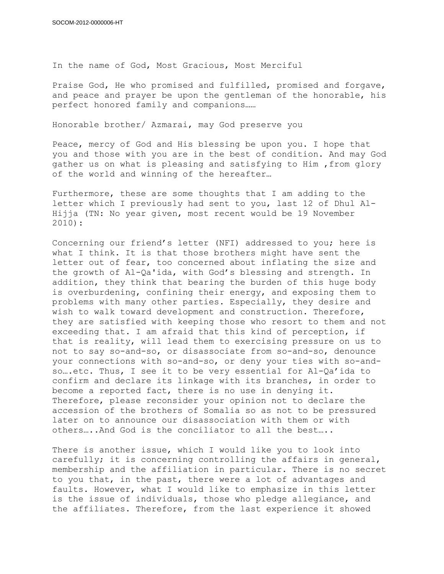In the name of God, Most Gracious, Most Merciful

Praise God, He who promised and fulfilled, promised and forgave, and peace and prayer be upon the gentleman of the honorable, his perfect honored family and companions……

Honorable brother/ Azmarai, may God preserve you

Peace, mercy of God and His blessing be upon you. I hope that you and those with you are in the best of condition. And may God gather us on what is pleasing and satisfying to Him , from glory of the world and winning of the hereafter…

Furthermore, these are some thoughts that I am adding to the letter which I previously had sent to you, last 12 of Dhul Al-Hijja (TN: No year given, most recent would be 19 November 2010):

Concerning our friend's letter (NFI) addressed to you; here is what I think. It is that those brothers might have sent the letter out of fear, too concerned about inflating the size and the growth of Al-Qa'ida, with God's blessing and strength. In addition, they think that bearing the burden of this huge body is overburdening, confining their energy, and exposing them to problems with many other parties. Especially, they desire and wish to walk toward development and construction. Therefore, they are satisfied with keeping those who resort to them and not exceeding that. I am afraid that this kind of perception, if that is reality, will lead them to exercising pressure on us to not to say so-and-so, or disassociate from so-and-so, denounce your connections with so-and-so, or deny your ties with so-andso….etc. Thus, I see it to be very essential for Al-Qa'ida to confirm and declare its linkage with its branches, in order to become a reported fact, there is no use in denying it. Therefore, please reconsider your opinion not to declare the accession of the brothers of Somalia so as not to be pressured later on to announce our disassociation with them or with others…..And God is the conciliator to all the best…..

There is another issue, which I would like you to look into carefully; it is concerning controlling the affairs in general, membership and the affiliation in particular. There is no secret to you that, in the past, there were a lot of advantages and faults. However, what I would like to emphasize in this letter is the issue of individuals, those who pledge allegiance, and the affiliates. Therefore, from the last experience it showed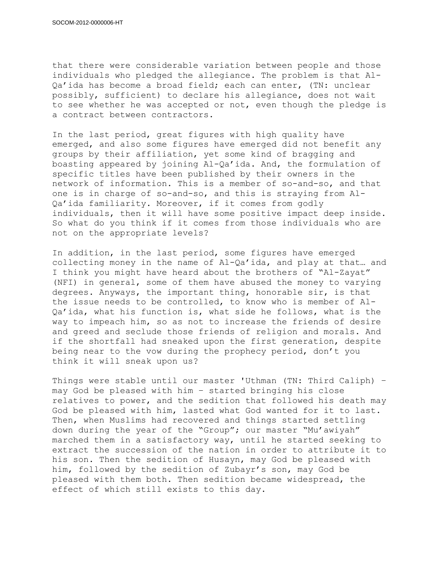that there were considerable variation between people and those individuals who pledged the allegiance. The problem is that Al-Qa'ida has become a broad field; each can enter, (TN: unclear possibly, sufficient) to declare his allegiance, does not wait to see whether he was accepted or not, even though the pledge is a contract between contractors.

In the last period, great figures with high quality have emerged, and also some figures have emerged did not benefit any groups by their affiliation, yet some kind of bragging and boasting appeared by joining Al-Qa'ida. And, the formulation of specific titles have been published by their owners in the network of information. This is a member of so-and-so, and that one is in charge of so-and-so, and this is straying from Al-Qa'ida familiarity. Moreover, if it comes from godly individuals, then it will have some positive impact deep inside. So what do you think if it comes from those individuals who are not on the appropriate levels?

In addition, in the last period, some figures have emerged collecting money in the name of Al-Qa'ida, and play at that… and I think you might have heard about the brothers of "Al-Zayat" (NFI) in general, some of them have abused the money to varying degrees. Anyways, the important thing, honorable sir, is that the issue needs to be controlled, to know who is member of Al-Qa'ida, what his function is, what side he follows, what is the way to impeach him, so as not to increase the friends of desire and greed and seclude those friends of religion and morals. And if the shortfall had sneaked upon the first generation, despite being near to the vow during the prophecy period, don't you think it will sneak upon us?

Things were stable until our master 'Uthman (TN: Third Caliph) – may God be pleased with him – started bringing his close relatives to power, and the sedition that followed his death may God be pleased with him, lasted what God wanted for it to last. Then, when Muslims had recovered and things started settling down during the year of the "Group"; our master "Mu'awiyah" marched them in a satisfactory way, until he started seeking to extract the succession of the nation in order to attribute it to his son. Then the sedition of Husayn, may God be pleased with him, followed by the sedition of Zubayr's son, may God be pleased with them both. Then sedition became widespread, the effect of which still exists to this day.